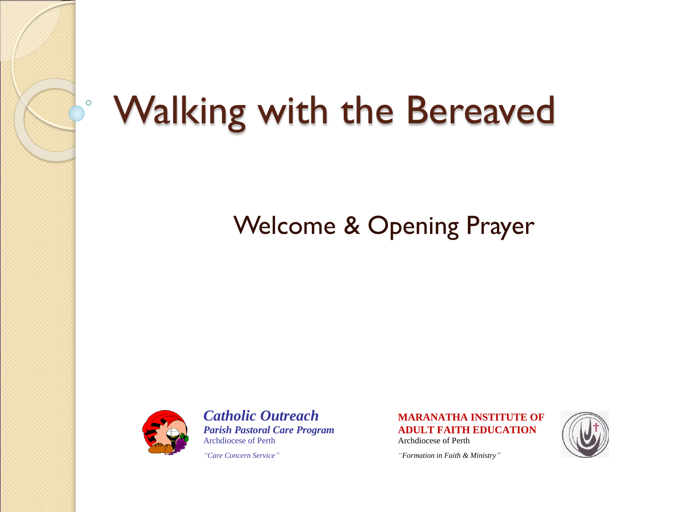

#### Walking with the Bereaved

#### Welcome & Opening Prayer



*Catholic Outreach* **MARANATHA INSTITUTE OF** Archdiocese of Perth Archdiocese of Perth

*Parish Pastoral Care Program* **ADULT FAITH EDUCATION**



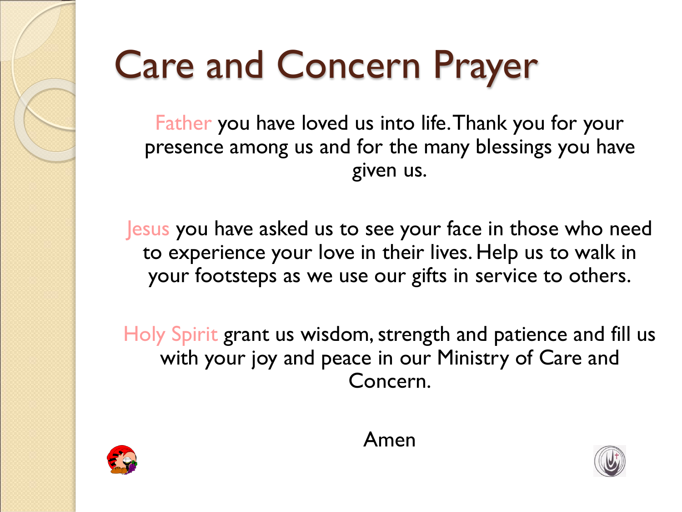### Care and Concern Prayer

Father you have loved us into life. Thank you for your presence among us and for the many blessings you have given us.

Jesus you have asked us to see your face in those who need to experience your love in their lives. Help us to walk in your footsteps as we use our gifts in service to others.

Holy Spirit grant us wisdom, strength and patience and fill us with your joy and peace in our Ministry of Care and Concern.





Amen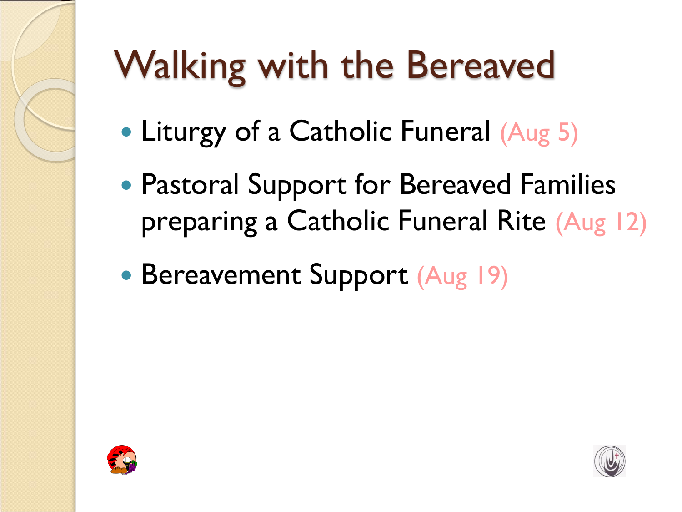# Walking with the Bereaved

- Liturgy of a Catholic Funeral (Aug 5)
- Pastoral Support for Bereaved Families preparing a Catholic Funeral Rite (Aug 12)
- Bereavement Support (Aug 19)



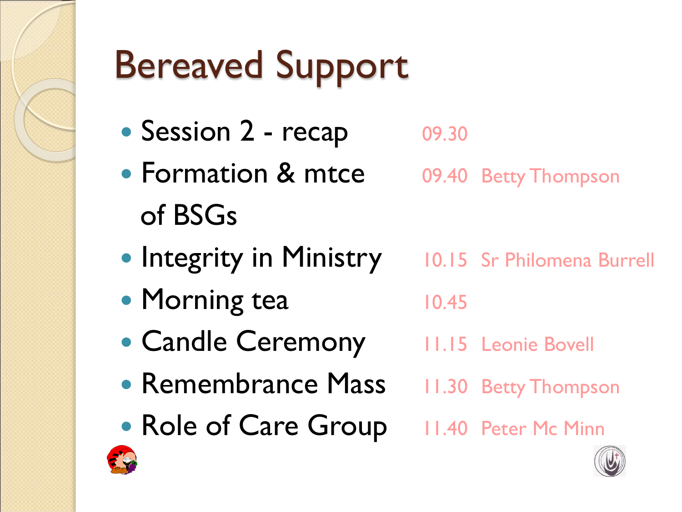

# Bereaved Support

- Session 2 recap 09.30
- Formation & mtce 09.40 Betty Thompson of BSGs
- Integrity in Ministry 10.15 Sr Philomena Burrell
	-
- Morning tea 10.45
- Candle Ceremony 11.15 Leonie Bovell
- Remembrance Mass 11.30 Betty Thompson
- Role of Care Group 11.40 Peter Mc Minn



- 
- 

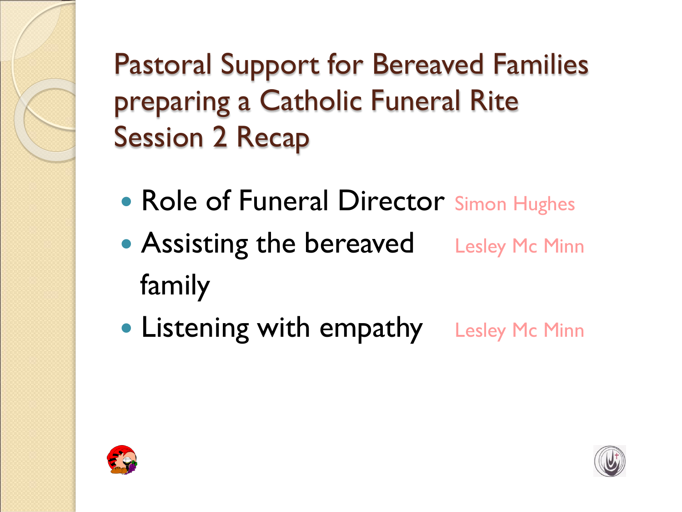Pastoral Support for Bereaved Families preparing a Catholic Funeral Rite Session 2 Recap

- Role of Funeral Director Simon Hughes
- Assisting the bereaved Lesley Mc Minn family
- Listening with empathy Lesley Mc Minn



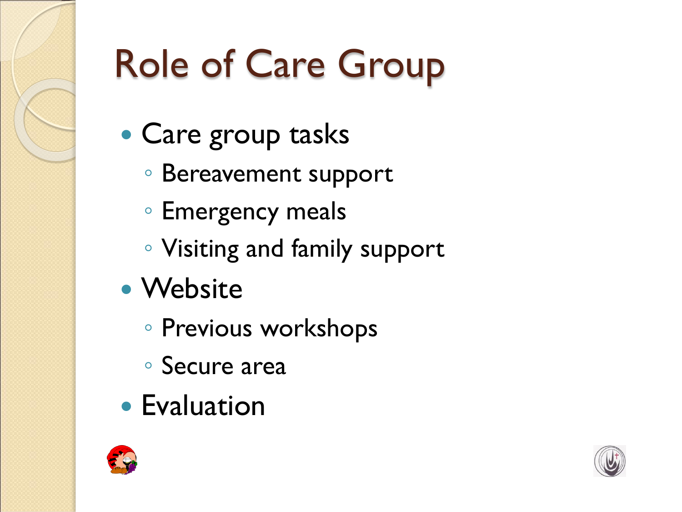

# Role of Care Group

- Care group tasks
	- Bereavement support
	- Emergency meals
	- Visiting and family support
- Website
	- Previous workshops
	- Secure area
- Evaluation